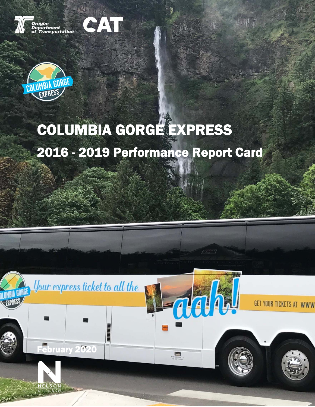

SAT



# COLUMBIA GORGE EXPRESS 2016 - 2019 Performance Report Card





YOUR TICKETS AT WWW

Nelson\Nygaard Consulting Associates Inc. | 1

Columbia Gorge Express Performance Report Card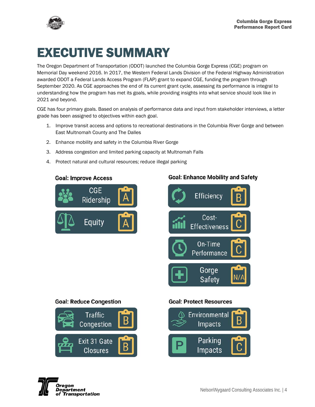

# EXECUTIVE SUMMARY

The Oregon Department of Transportation (ODOT) launched the Columbia Gorge Express (CGE) program on Memorial Day weekend 2016. In 2017, the Western Federal Lands Division of the Federal Highway Administration awarded ODOT a Federal Lands Access Program (FLAP) grant to expand CGE, funding the program through September 2020. As CGE approaches the end of its current grant cycle, assessing its performance is integral to understanding how the program has met its goals, while providing insights into what service should look like in 2021 and beyond.

CGE has four primary goals. Based on analysis of performance data and input from stakeholder interviews, a letter grade has been assigned to objectives within each goal.

- 1. Improve transit access and options to recreational destinations in the Columbia River Gorge and between East Multnomah County and The Dalles
- 2. Enhance mobility and safety in the Columbia River Gorge
- 3. Address congestion and limited parking capacity at Multnomah Falls
- 4. Protect natural and cultural resources; reduce illegal parking

#### **Goal: Improve Access**



#### **Goal: Enhance Mobility and Safety**



**Goal: Reduce Congestion Traffic** Congestion Exit 31 Gate

**Closures** 

#### **Goal: Protect Resources**



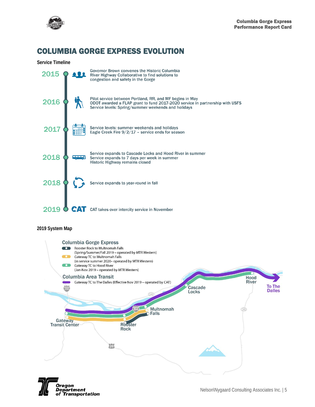

# COLUMBIA GORGE EXPRESS EVOLUTION





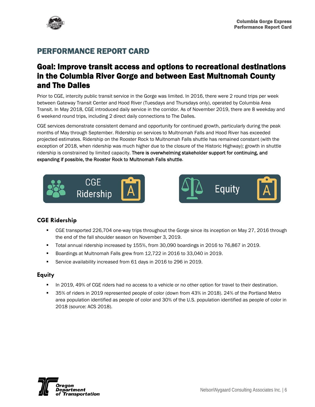

# PERFORMANCE REPORT CARD

# Goal: Improve transit access and options to recreational destinations in the Columbia River Gorge and between East Multnomah County and The Dalles

Prior to CGE, intercity public transit service in the Gorge was limited. In 2016, there were 2 round trips per week between Gateway Transit Center and Hood River (Tuesdays and Thursdays only), operated by Columbia Area Transit. In May 2018, CGE introduced daily service in the corridor. As of November 2019, there are 8 weekday and 6 weekend round trips, including 2 direct daily connections to The Dalles.

CGE services demonstrate consistent demand and opportunity for continued growth, particularly during the peak months of May through September. Ridership on services to Multnomah Falls and Hood River has exceeded projected estimates. Ridership on the Rooster Rock to Multnomah Falls shuttle has remained constant (with the exception of 2018, when ridership was much higher due to the closure of the Historic Highway); growth in shuttle ridership is constrained by limited capacity. There is overwhelming stakeholder support for continuing, and expanding if possible, the Rooster Rock to Multnomah Falls shuttle.





#### **CGE Ridership**

- CGE transported 226,704 one-way trips throughout the Gorge since its inception on May 27, 2016 through the end of the fall shoulder season on November 3, 2019.
- Total annual ridership increased by 155%, from 30,090 boardings in 2016 to 76,867 in 2019.
- Boardings at Multnomah Falls grew from 12,722 in 2016 to 33,040 in 2019.
- Service availability increased from 61 days in 2016 to 296 in 2019.

#### **Equity**

- In 2019, 49% of CGE riders had no access to a vehicle or no other option for travel to their destination.
- 35% of riders in 2019 represented people of color (down from 43% in 2018). 24% of the Portland Metro area population identified as people of color and 30% of the U.S. population identified as people of color in 2018 (source: ACS 2018).

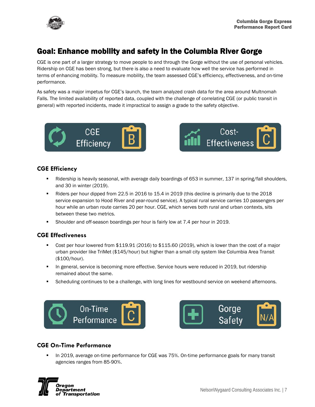

# Goal: Enhance mobility and safety in the Columbia River Gorge

CGE is one part of a larger strategy to move people to and through the Gorge without the use of personal vehicles. Ridership on CGE has been strong, but there is also a need to evaluate how well the service has performed in terms of enhancing mobility. To measure mobility, the team assessed CGE's efficiency, effectiveness, and on-time performance.

As safety was a major impetus for CGE's launch, the team analyzed crash data for the area around Multnomah Falls. The limited availability of reported data, coupled with the challenge of correlating CGE (or public transit in general) with reported incidents, made it impractical to assign a grade to the safety objective.





#### **CGE Efficiency**

- **EXECT A** Ridership is heavily seasonal, with average daily boardings of 653 in summer, 137 in spring/fall shoulders, and 30 in winter (2019).
- Riders per hour dipped from 22.5 in 2016 to 15.4 in 2019 (this decline is primarily due to the 2018 service expansion to Hood River and year-round service). A typical rural service carries 10 passengers per hour while an urban route carries 20 per hour. CGE, which serves both rural and urban contexts, sits between these two metrics.
- Shoulder and off-season boardings per hour is fairly low at 7.4 per hour in 2019.

#### **CGE Effectiveness**

- Cost per hour lowered from \$119.91 (2016) to \$115.60 (2019), which is lower than the cost of a major urban provider like TriMet (\$145/hour) but higher than a small city system like Columbia Area Transit (\$100/hour).
- **IDED 19 In general, service is becoming more effective. Service hours were reduced in 2019, but ridership** remained about the same.
- **Scheduling continues to be a challenge, with long lines for westbound service on weekend afternoons.**





#### **CGE On-Time Performance**

 In 2019, average on-time performance for CGE was 75%. On-time performance goals for many transit agencies ranges from 85-90%.

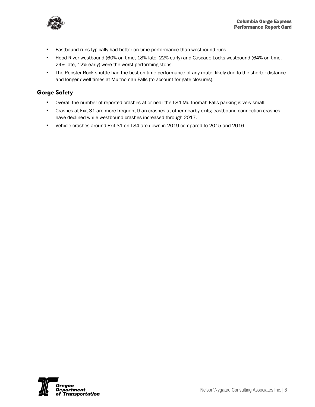

- **Eastbound runs typically had better on-time performance than westbound runs.**
- Hood River westbound (60% on time, 18% late, 22% early) and Cascade Locks westbound (64% on time, 24% late, 12% early) were the worst performing stops.
- **The Rooster Rock shuttle had the best on-time performance of any route, likely due to the shorter distance** and longer dwell times at Multnomah Falls (to account for gate closures).

#### **Gorge Safety**

- Overall the number of reported crashes at or near the I-84 Multnomah Falls parking is very small.
- Crashes at Exit 31 are more frequent than crashes at other nearby exits; eastbound connection crashes have declined while westbound crashes increased through 2017.
- Vehicle crashes around Exit 31 on I-84 are down in 2019 compared to 2015 and 2016.

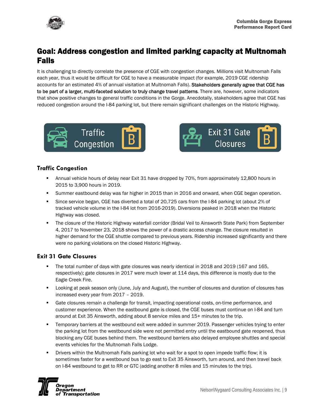

# Goal: Address congestion and limited parking capacity at Multnomah Falls

It is challenging to directly correlate the presence of CGE with congestion changes. Millions visit Multnomah Falls each year, thus it would be difficult for CGE to have a measurable impact (for example, 2019 CGE ridership accounts for an estimated 4% of annual visitation at Multnomah Falls). Stakeholders generally agree that CGE has to be part of a larger, multi-faceted solution to truly change travel patterns. There are, however, some indicators that show positive changes to general traffic conditions in the Gorge. Anecdotally, stakeholders agree that CGE has reduced congestion around the I-84 parking lot, but there remain significant challenges on the Historic Highway.





#### **Traffic Congestion**

- Annual vehicle hours of delay near Exit 31 have dropped by 70%, from approximately 12,800 hours in 2015 to 3,900 hours in 2019.
- Summer eastbound delay was far higher in 2015 than in 2016 and onward, when CGE began operation.
- Since service began, CGE has diverted a total of 20,725 cars from the I-84 parking lot (about 2% of tracked vehicle volume in the I-84 lot from 2016-2019). Diversions peaked in 2018 when the Historic Highway was closed.
- The closure of the Historic Highway waterfall corridor (Bridal Veil to Ainsworth State Park) from September 4, 2017 to November 23, 2018 shows the power of a drastic access change. The closure resulted in higher demand for the CGE shuttle compared to previous years. Ridership increased significantly and there were no parking violations on the closed Historic Highway.

#### **Exit 31 Gate Closures**

- The total number of days with gate closures was nearly identical in 2018 and 2019 (167 and 165, respectively); gate closures in 2017 were much lower at 114 days, this difference is mostly due to the Eagle Creek Fire.
- **EXED ADDE A** Looking at peak season only (June, July and August), the number of closures and duration of closures has increased every year from 2017 – 2019.
- Gate closures remain a challenge for transit, impacting operational costs, on-time performance, and customer experience. When the eastbound gate is closed, the CGE buses must continue on I-84 and turn around at Exit 35 Ainsworth, adding about 8 service miles and 15+ minutes to the trip.
- Temporary barriers at the westbound exit were added in summer 2019. Passenger vehicles trying to enter the parking lot from the westbound side were not permitted entry until the eastbound gate reopened, thus blocking any CGE buses behind them. The westbound barriers also delayed employee shuttles and special events vehicles for the Multnomah Falls Lodge.
- Drivers within the Multnomah Falls parking lot who wait for a spot to open impede traffic flow; it is sometimes faster for a westbound bus to go east to Exit 35 Ainsworth, turn around, and then travel back on I-84 westbound to get to RR or GTC (adding another 8 miles and 15 minutes to the trip).

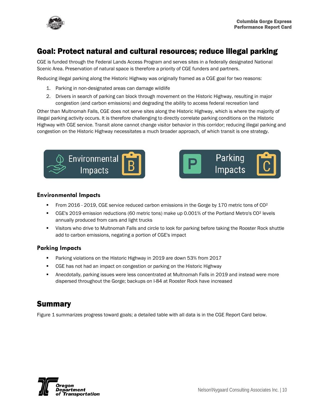

# Goal: Protect natural and cultural resources; reduce illegal parking

CGE is funded through the Federal Lands Access Program and serves sites in a federally designated National Scenic Area. Preservation of natural space is therefore a priority of CGE funders and partners.

Reducing illegal parking along the Historic Highway was originally framed as a CGE goal for two reasons:

- 1. Parking in non-designated areas can damage wildlife
- 2. Drivers in search of parking can block through movement on the Historic Highway, resulting in major congestion (and carbon emissions) and degrading the ability to access federal recreation land

Other than Multnomah Falls, CGE does not serve sites along the Historic Highway, which is where the majority of illegal parking activity occurs. It is therefore challenging to directly correlate parking conditions on the Historic Highway with CGE service. Transit alone cannot change visitor behavior in this corridor; reducing illegal parking and congestion on the Historic Highway necessitates a much broader approach, of which transit is one strategy.





#### **Environmental Impacts**

- From 2016 2019, CGE service reduced carbon emissions in the Gorge by 170 metric tons of CO²
- CGE's 2019 emission reductions (60 metric tons) make up 0.001% of the Portland Metro's CO² levels annually produced from cars and light trucks
- Visitors who drive to Multnomah Falls and circle to look for parking before taking the Rooster Rock shuttle add to carbon emissions, negating a portion of CGE's impact

#### **Parking Impacts**

- **Parking violations on the Historic Highway in 2019 are down 53% from 2017**
- **CGE has not had an impact on congestion or parking on the Historic Highway**
- Anecdotally, parking issues were less concentrated at Multnomah Falls in 2019 and instead were more dispersed throughout the Gorge; backups on I-84 at Rooster Rock have increased

### Summary

Figure 1 summarizes progress toward goals; a detailed table with all data is in the CGE Report Card below.

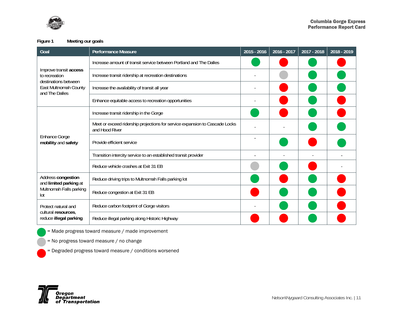

**Figure 1 Meeting our goals** 

| Goal                                                                                                       | Performance Measure                                                                           | 2015 - 2016 | 2016 - 2017 | 2017 - 2018 | 2018 - 2019 |
|------------------------------------------------------------------------------------------------------------|-----------------------------------------------------------------------------------------------|-------------|-------------|-------------|-------------|
| Improve transit access<br>to recreation<br>destinations between<br>East Multnomah County<br>and The Dalles | Increase amount of transit service between Portland and The Dalles                            |             |             |             |             |
|                                                                                                            | Increase transit ridership at recreation destinations                                         |             |             |             |             |
|                                                                                                            | Increase the availability of transit all year                                                 |             |             |             |             |
|                                                                                                            | Enhance equitable access to recreation opportunities                                          |             |             |             |             |
| <b>Enhance Gorge</b><br>mobility and safety                                                                | Increase transit ridership in the Gorge                                                       |             |             |             |             |
|                                                                                                            | Meet or exceed ridership projections for service expansion to Cascade Locks<br>and Hood River |             |             |             |             |
|                                                                                                            | Provide efficient service                                                                     |             |             |             |             |
|                                                                                                            | Transition intercity service to an established transit provider                               |             |             |             |             |
|                                                                                                            | Reduce vehicle crashes at Exit 31 EB                                                          |             |             |             |             |
| Address congestion<br>and limited parking at<br>Multnomah Falls parking<br>lot                             | Reduce driving trips to Multnomah Falls parking lot                                           |             |             |             |             |
|                                                                                                            | Reduce congestion at Exit 31 EB                                                               |             |             |             |             |
| Protect natural and<br>cultural resources,<br>reduce illegal parking                                       | Reduce carbon footprint of Gorge visitors                                                     |             |             |             |             |
|                                                                                                            | Reduce illegal parking along Historic Highway                                                 |             |             |             |             |

= Made progress toward measure / made improvement

- = No progress toward measure / no change
- = Degraded progress toward measure / conditions worsened